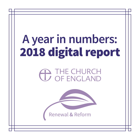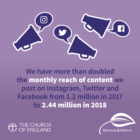

**We have more than doubled the** monthly reach of content **we post on Instagram, Twitter and Facebook from 1.2 million in 2017 to** 2.44 million in 2018

IF CHURCH **FNGI AND** 

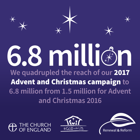





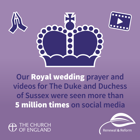

**Our** Royal wedding **prayer and videos for The Duke and Duchess of Sussex were seen more than**  5 million times **on social media**

**IE CHURCH FNGI AND** 

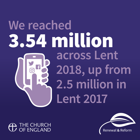### We reached 3.54 million **across Lent 2018, up from 2.5 million in Lent 2017**



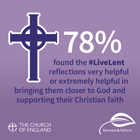**found the** #LiveLent **reflections very helpful or extremely helpful in bringing them closer to God and supporting their Christian faith 78%**



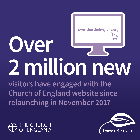**www.churchofengland.org**

## **2 million new Over**

**visitors have engaged with the Church of England website since relaunching in November 2017**

THE CHURCH E FNGLAND

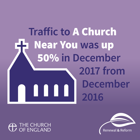#### **Traffic to** A Church Near You **was** up 50% **in December 2017 from December 2016**



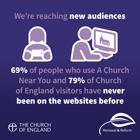#### **We're reaching** new audiences



69% **of people who use A Church Near You and** 79% **of Church of England visitors have** never been on the websites before

IE CHURCH **F FNGI AND** 

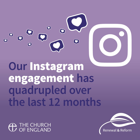**Our** Instagram engagement **has quadrupled over the last 12 months**

**HE CHURCH FENGLAND** 

 $\overline{Q}$ 

 $\bullet$ 

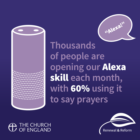



**Thousands of people are opening our** Alexa skill **each month, with** 60% **using it to say prayers**



 $\mathbf \Omega$  THE CHURCH OF ENGLAND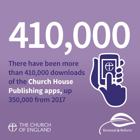# **410,000**

**There have been more than 410,000 downloads of the Church House Publishing apps, up 350,000 from 2017**



**IE CHURCH FNGI AND**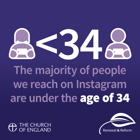# $\begin{array}{c} \begin{array}{c} \text{S}_{1} \end{array} \\ \begin{array}{c} \text{maxitiv of } n \end{array} \end{array}$

### **The majority of people we reach on Instagram are under the** age of 34

**IE CHURCH F FNGI AND** 



Renewal & Reform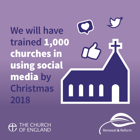**We will have trained** 1,000 churches in using social media **by Christmas 2018**